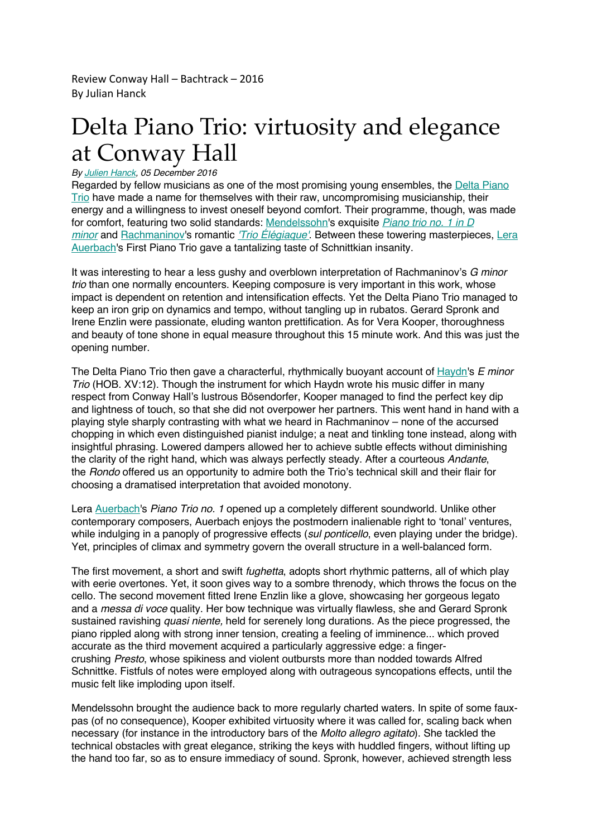Review Conway Hall – Bachtrack – 2016 By Julian Hanck

## Delta Piano Trio: virtuosity and elegance at Conway Hall

## *By Julien Hanck, 05 December 2016*

Regarded by fellow musicians as one of the most promising young ensembles, the Delta Piano Trio have made a name for themselves with their raw, uncompromising musicianship, their energy and a willingness to invest oneself beyond comfort. Their programme, though, was made for comfort, featuring two solid standards: Mendelssohn's exquisite *Piano trio no. 1 in D minor* and Rachmaninov's romantic *'Trio Élégiaque'*. Between these towering masterpieces, Lera Auerbach's First Piano Trio gave a tantalizing taste of Schnittkian insanity.

It was interesting to hear a less gushy and overblown interpretation of Rachmaninov's *G minor trio* than one normally encounters. Keeping composure is very important in this work, whose impact is dependent on retention and intensification effects. Yet the Delta Piano Trio managed to keep an iron grip on dynamics and tempo, without tangling up in rubatos. Gerard Spronk and Irene Enzlin were passionate, eluding wanton prettification. As for Vera Kooper, thoroughness and beauty of tone shone in equal measure throughout this 15 minute work. And this was just the opening number.

The Delta Piano Trio then gave a characterful, rhythmically buoyant account of Haydn's *E minor Trio* (HOB. XV:12). Though the instrument for which Haydn wrote his music differ in many respect from Conway Hall's lustrous Bösendorfer, Kooper managed to find the perfect key dip and lightness of touch, so that she did not overpower her partners. This went hand in hand with a playing style sharply contrasting with what we heard in Rachmaninov – none of the accursed chopping in which even distinguished pianist indulge; a neat and tinkling tone instead, along with insightful phrasing. Lowered dampers allowed her to achieve subtle effects without diminishing the clarity of the right hand, which was always perfectly steady. After a courteous *Andante*, the *Rondo* offered us an opportunity to admire both the Trio's technical skill and their flair for choosing a dramatised interpretation that avoided monotony.

Lera Auerbach's *Piano Trio no. 1* opened up a completely different soundworld. Unlike other contemporary composers, Auerbach enjoys the postmodern inalienable right to 'tonal' ventures, while indulging in a panoply of progressive effects (*sul ponticello*, even playing under the bridge). Yet, principles of climax and symmetry govern the overall structure in a well-balanced form.

The first movement, a short and swift *fughetta*, adopts short rhythmic patterns, all of which play with eerie overtones. Yet, it soon gives way to a sombre threnody, which throws the focus on the cello. The second movement fitted Irene Enzlin like a glove, showcasing her gorgeous legato and a *messa di voce* quality. Her bow technique was virtually flawless, she and Gerard Spronk sustained ravishing *quasi niente,* held for serenely long durations. As the piece progressed, the piano rippled along with strong inner tension, creating a feeling of imminence... which proved accurate as the third movement acquired a particularly aggressive edge: a fingercrushing *Presto*, whose spikiness and violent outbursts more than nodded towards Alfred Schnittke. Fistfuls of notes were employed along with outrageous syncopations effects, until the music felt like imploding upon itself.

Mendelssohn brought the audience back to more regularly charted waters. In spite of some fauxpas (of no consequence), Kooper exhibited virtuosity where it was called for, scaling back when necessary (for instance in the introductory bars of the *Molto allegro agitato*). She tackled the technical obstacles with great elegance, striking the keys with huddled fingers, without lifting up the hand too far, so as to ensure immediacy of sound. Spronk, however, achieved strength less